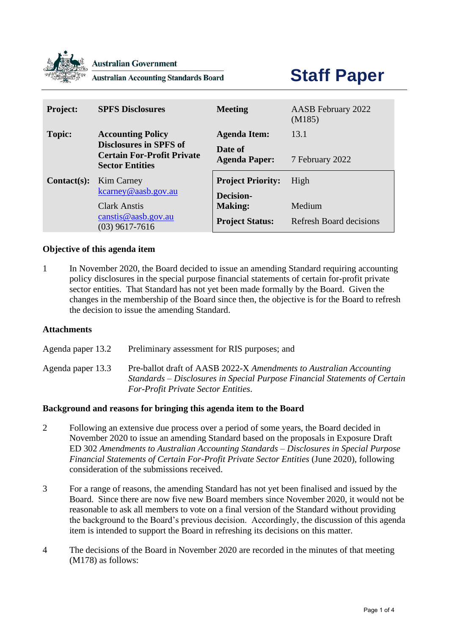

#### **Australian Government**

**Australian Accounting Standards Board** 

# **Staff Paper**

| <b>Project:</b> | <b>SPFS Disclosures</b>                                                                      | <b>Meeting</b>                               | AASB February 2022<br>(M185)   |
|-----------------|----------------------------------------------------------------------------------------------|----------------------------------------------|--------------------------------|
| <b>Topic:</b>   | <b>Accounting Policy</b>                                                                     | <b>Agenda Item:</b>                          | 13.1                           |
|                 | <b>Disclosures in SPFS of</b><br><b>Certain For-Profit Private</b><br><b>Sector Entities</b> | Date of<br><b>Agenda Paper:</b>              | 7 February 2022                |
| $Context(s):$   | <b>Kim Carney</b><br>kcarney@aasb.gov.au                                                     | <b>Project Priority:</b><br><b>Decision-</b> | High                           |
|                 | <b>Clark Anstis</b>                                                                          | <b>Making:</b>                               | Medium                         |
|                 | $c$ canst is @ aasb.gov.au<br>$(03)$ 9617-7616                                               | <b>Project Status:</b>                       | <b>Refresh Board decisions</b> |

# **Objective of this agenda item**

1 In November 2020, the Board decided to issue an amending Standard requiring accounting policy disclosures in the special purpose financial statements of certain for-profit private sector entities. That Standard has not yet been made formally by the Board. Given the changes in the membership of the Board since then, the objective is for the Board to refresh the decision to issue the amending Standard.

#### **Attachments**

Agenda paper 13.2 Preliminary assessment for RIS purposes; and

Agenda paper 13.3 Pre-ballot draft of AASB 2022-X *Amendments to Australian Accounting Standards – Disclosures in Special Purpose Financial Statements of Certain For-Profit Private Sector Entities*.

#### **Background and reasons for bringing this agenda item to the Board**

- 2 Following an extensive due process over a period of some years, the Board decided in November 2020 to issue an amending Standard based on the proposals in Exposure Draft ED 302 *Amendments to Australian Accounting Standards – Disclosures in Special Purpose Financial Statements of Certain For-Profit Private Sector Entities* (June 2020), following consideration of the submissions received.
- 3 For a range of reasons, the amending Standard has not yet been finalised and issued by the Board. Since there are now five new Board members since November 2020, it would not be reasonable to ask all members to vote on a final version of the Standard without providing the background to the Board's previous decision. Accordingly, the discussion of this agenda item is intended to support the Board in refreshing its decisions on this matter.
- 4 The decisions of the Board in November 2020 are recorded in the minutes of that meeting (M178) as follows: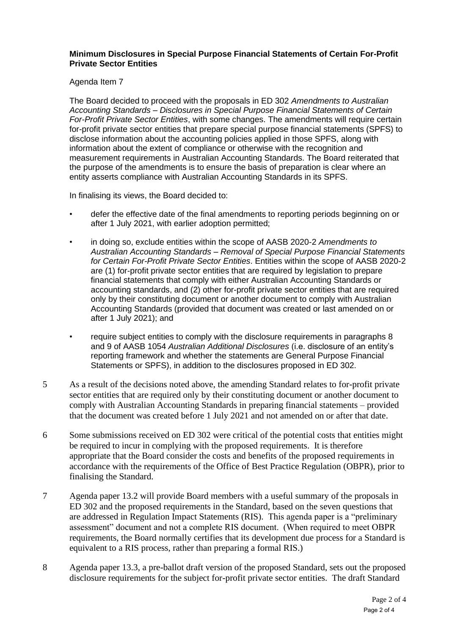# **Minimum Disclosures in Special Purpose Financial Statements of Certain For-Profit Private Sector Entities**

Agenda Item 7

The Board decided to proceed with the proposals in ED 302 *Amendments to Australian Accounting Standards – Disclosures in Special Purpose Financial Statements of Certain For-Profit Private Sector Entities*, with some changes. The amendments will require certain for-profit private sector entities that prepare special purpose financial statements (SPFS) to disclose information about the accounting policies applied in those SPFS, along with information about the extent of compliance or otherwise with the recognition and measurement requirements in Australian Accounting Standards. The Board reiterated that the purpose of the amendments is to ensure the basis of preparation is clear where an entity asserts compliance with Australian Accounting Standards in its SPFS.

In finalising its views, the Board decided to:

- defer the effective date of the final amendments to reporting periods beginning on or after 1 July 2021, with earlier adoption permitted;
- in doing so, exclude entities within the scope of AASB 2020-2 *Amendments to Australian Accounting Standards – Removal of Special Purpose Financial Statements for Certain For-Profit Private Sector Entities*. Entities within the scope of AASB 2020-2 are (1) for-profit private sector entities that are required by legislation to prepare financial statements that comply with either Australian Accounting Standards or accounting standards, and (2) other for-profit private sector entities that are required only by their constituting document or another document to comply with Australian Accounting Standards (provided that document was created or last amended on or after 1 July 2021); and
- require subject entities to comply with the disclosure requirements in paragraphs 8 and 9 of AASB 1054 *Australian Additional Disclosures* (i.e. disclosure of an entity's reporting framework and whether the statements are General Purpose Financial Statements or SPFS), in addition to the disclosures proposed in ED 302.
- 5 As a result of the decisions noted above, the amending Standard relates to for-profit private sector entities that are required only by their constituting document or another document to comply with Australian Accounting Standards in preparing financial statements – provided that the document was created before 1 July 2021 and not amended on or after that date.
- 6 Some submissions received on ED 302 were critical of the potential costs that entities might be required to incur in complying with the proposed requirements. It is therefore appropriate that the Board consider the costs and benefits of the proposed requirements in accordance with the requirements of the Office of Best Practice Regulation (OBPR), prior to finalising the Standard.
- 7 Agenda paper 13.2 will provide Board members with a useful summary of the proposals in ED 302 and the proposed requirements in the Standard, based on the seven questions that are addressed in Regulation Impact Statements (RIS). This agenda paper is a "preliminary assessment" document and not a complete RIS document. (When required to meet OBPR requirements, the Board normally certifies that its development due process for a Standard is equivalent to a RIS process, rather than preparing a formal RIS.)
- 8 Agenda paper 13.3, a pre-ballot draft version of the proposed Standard, sets out the proposed disclosure requirements for the subject for-profit private sector entities. The draft Standard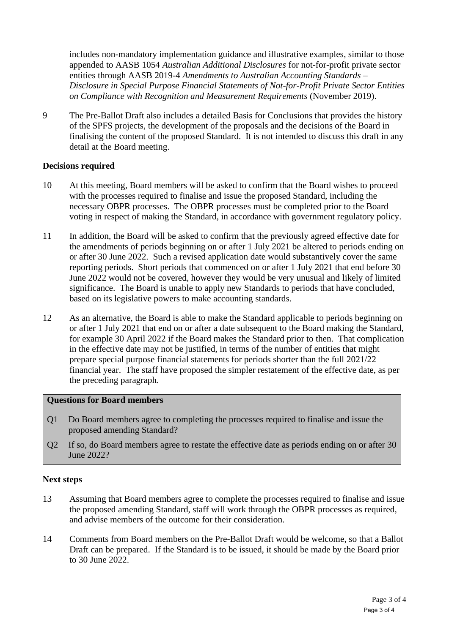includes non-mandatory implementation guidance and illustrative examples, similar to those appended to AASB 1054 *Australian Additional Disclosures* for not-for-profit private sector entities through AASB 2019-4 *Amendments to Australian Accounting Standards – Disclosure in Special Purpose Financial Statements of Not-for-Profit Private Sector Entities on Compliance with Recognition and Measurement Requirements* (November 2019).

9 The Pre-Ballot Draft also includes a detailed Basis for Conclusions that provides the history of the SPFS projects, the development of the proposals and the decisions of the Board in finalising the content of the proposed Standard. It is not intended to discuss this draft in any detail at the Board meeting.

# **Decisions required**

- 10 At this meeting, Board members will be asked to confirm that the Board wishes to proceed with the processes required to finalise and issue the proposed Standard, including the necessary OBPR processes. The OBPR processes must be completed prior to the Board voting in respect of making the Standard, in accordance with government regulatory policy.
- 11 In addition, the Board will be asked to confirm that the previously agreed effective date for the amendments of periods beginning on or after 1 July 2021 be altered to periods ending on or after 30 June 2022. Such a revised application date would substantively cover the same reporting periods. Short periods that commenced on or after 1 July 2021 that end before 30 June 2022 would not be covered, however they would be very unusual and likely of limited significance. The Board is unable to apply new Standards to periods that have concluded, based on its legislative powers to make accounting standards.
- 12 As an alternative, the Board is able to make the Standard applicable to periods beginning on or after 1 July 2021 that end on or after a date subsequent to the Board making the Standard, for example 30 April 2022 if the Board makes the Standard prior to then. That complication in the effective date may not be justified, in terms of the number of entities that might prepare special purpose financial statements for periods shorter than the full 2021/22 financial year. The staff have proposed the simpler restatement of the effective date, as per the preceding paragraph.

### **Questions for Board members**

- Q1 Do Board members agree to completing the processes required to finalise and issue the proposed amending Standard?
- Q2 If so, do Board members agree to restate the effective date as periods ending on or after 30 June 2022?

#### **Next steps**

- 13 Assuming that Board members agree to complete the processes required to finalise and issue the proposed amending Standard, staff will work through the OBPR processes as required, and advise members of the outcome for their consideration.
- 14 Comments from Board members on the Pre-Ballot Draft would be welcome, so that a Ballot Draft can be prepared. If the Standard is to be issued, it should be made by the Board prior to 30 June 2022.